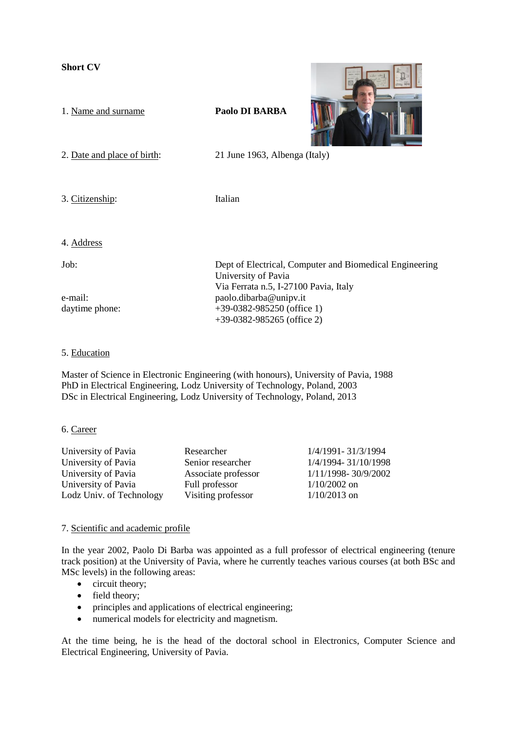**Short CV** 



### 5. Education

Master of Science in Electronic Engineering (with honours), University of Pavia, 1988 PhD in Electrical Engineering, Lodz University of Technology, Poland, 2003 DSc in Electrical Engineering, Lodz University of Technology, Poland, 2013

### 6. Career

| University of Pavia      | Researcher          | 1/4/1991-31/3/1994  |
|--------------------------|---------------------|---------------------|
| University of Pavia      | Senior researcher   | 1/4/1994-31/10/1998 |
| University of Pavia      | Associate professor | 1/11/1998-30/9/2002 |
| University of Pavia      | Full professor      | $1/10/2002$ on      |
| Lodz Univ. of Technology | Visiting professor  | $1/10/2013$ on      |
|                          |                     |                     |

## 7. Scientific and academic profile

In the year 2002, Paolo Di Barba was appointed as a full professor of electrical engineering (tenure track position) at the University of Pavia, where he currently teaches various courses (at both BSc and MSc levels) in the following areas:

- circuit theory;
- field theory;
- principles and applications of electrical engineering;
- numerical models for electricity and magnetism.

At the time being, he is the head of the doctoral school in Electronics, Computer Science and Electrical Engineering, University of Pavia.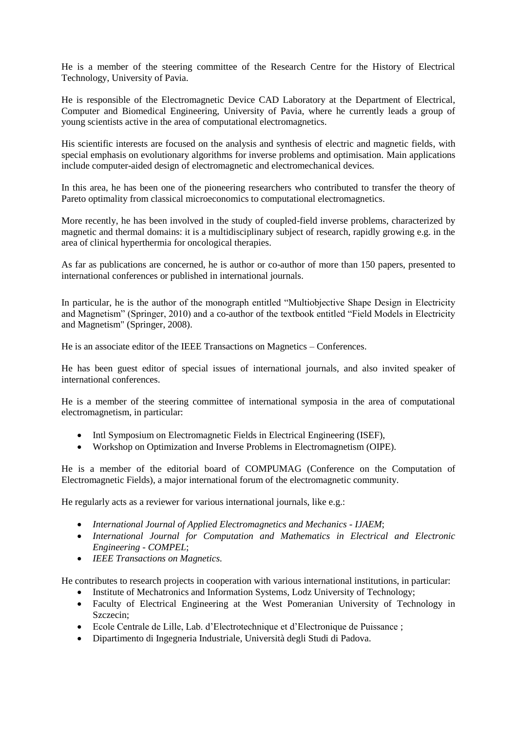He is a member of the steering committee of the Research Centre for the History of Electrical Technology, University of Pavia.

He is responsible of the Electromagnetic Device CAD Laboratory at the Department of Electrical, Computer and Biomedical Engineering, University of Pavia, where he currently leads a group of young scientists active in the area of computational electromagnetics.

His scientific interests are focused on the analysis and synthesis of electric and magnetic fields, with special emphasis on evolutionary algorithms for inverse problems and optimisation. Main applications include computer-aided design of electromagnetic and electromechanical devices.

In this area, he has been one of the pioneering researchers who contributed to transfer the theory of Pareto optimality from classical microeconomics to computational electromagnetics.

More recently, he has been involved in the study of coupled-field inverse problems, characterized by magnetic and thermal domains: it is a multidisciplinary subject of research, rapidly growing e.g. in the area of clinical hyperthermia for oncological therapies.

As far as publications are concerned, he is author or co-author of more than 150 papers, presented to international conferences or published in international journals.

In particular, he is the author of the monograph entitled "Multiobjective Shape Design in Electricity and Magnetism" (Springer, 2010) and a co-author of the textbook entitled "Field Models in Electricity and Magnetism" (Springer, 2008).

He is an associate editor of the IEEE Transactions on Magnetics – Conferences.

He has been guest editor of special issues of international journals, and also invited speaker of international conferences.

He is a member of the steering committee of international symposia in the area of computational electromagnetism, in particular:

- Intl Symposium on Electromagnetic Fields in Electrical Engineering (ISEF),
- Workshop on Optimization and Inverse Problems in Electromagnetism (OIPE).

He is a member of the editorial board of COMPUMAG (Conference on the Computation of Electromagnetic Fields), a major international forum of the electromagnetic community.

He regularly acts as a reviewer for various international journals, like e.g.:

- *International Journal of Applied Electromagnetics and Mechanics - IJAEM*;
- *International Journal for Computation and Mathematics in Electrical and Electronic Engineering - COMPEL*;
- *IEEE Transactions on Magnetics.*

He contributes to research projects in cooperation with various international institutions, in particular:

- Institute of Mechatronics and Information Systems, Lodz University of Technology;
- Faculty of Electrical Engineering at the West Pomeranian University of Technology in Szczecin;
- Ecole Centrale de Lille, Lab. d'Electrotechnique et d'Electronique de Puissance ;
- Dipartimento di Ingegneria Industriale, Università degli Studi di Padova.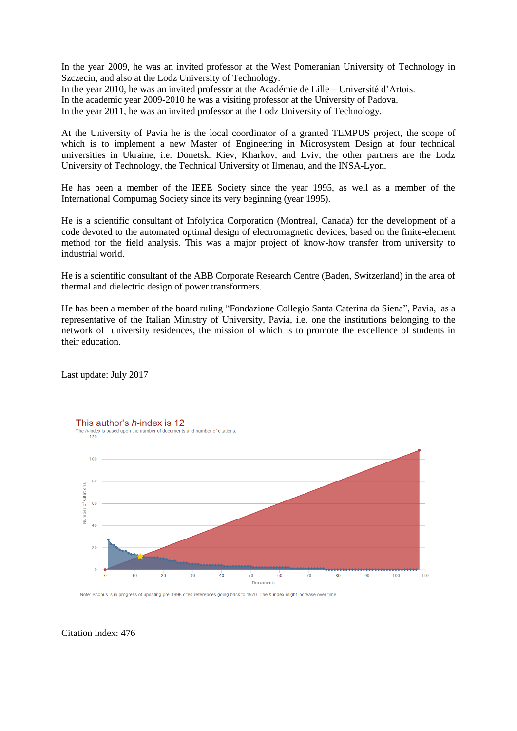In the year 2009, he was an invited professor at the West Pomeranian University of Technology in Szczecin, and also at the Lodz University of Technology.

In the year 2010, he was an invited professor at the Académie de Lille – Université d'Artois.

In the academic year 2009-2010 he was a visiting professor at the University of Padova.

In the year 2011, he was an invited professor at the Lodz University of Technology.

At the University of Pavia he is the local coordinator of a granted TEMPUS project, the scope of which is to implement a new Master of Engineering in Microsystem Design at four technical universities in Ukraine, i.e. Donetsk. Kiev, Kharkov, and Lviv; the other partners are the Lodz University of Technology, the Technical University of Ilmenau, and the INSA-Lyon.

He has been a member of the IEEE Society since the year 1995, as well as a member of the International Compumag Society since its very beginning (year 1995).

He is a scientific consultant of Infolytica Corporation (Montreal, Canada) for the development of a code devoted to the automated optimal design of electromagnetic devices, based on the finite-element method for the field analysis. This was a major project of know-how transfer from university to industrial world.

He is a scientific consultant of the ABB Corporate Research Centre (Baden, Switzerland) in the area of thermal and dielectric design of power transformers.

He has been a member of the board ruling "Fondazione Collegio Santa Caterina da Siena", Pavia, as a representative of the Italian Ministry of University, Pavia, i.e. one the institutions belonging to the network of university residences, the mission of which is to promote the excellence of students in their education.

Last update: July 2017



Note: Scopus is in progress of updating pre-1996 cited references going back to 1970. The h-index might increase over time

Citation index: 476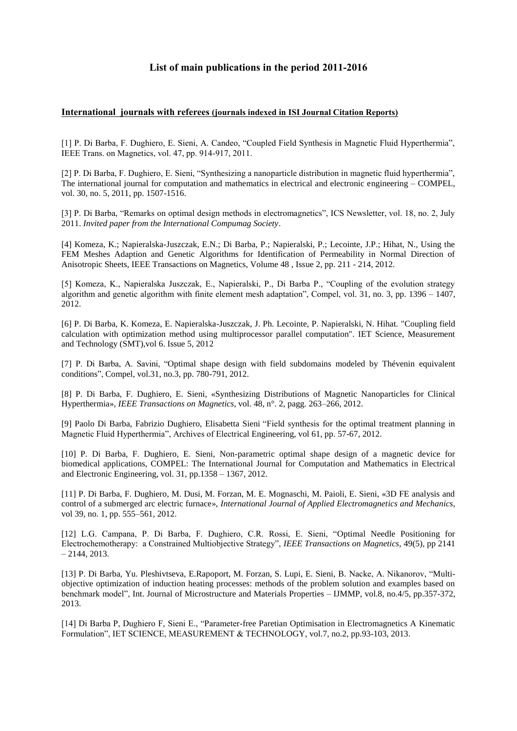# **List of main publications in the period 2011-2016**

#### **International journals with referees (journals indexed in ISI Journal Citation Reports)**

[1] P. Di Barba, F. Dughiero, E. Sieni, A. Candeo, "Coupled Field Synthesis in Magnetic Fluid Hyperthermia", IEEE Trans. on Magnetics, vol. 47, pp. 914-917, 2011.

[2] P. Di Barba, F. Dughiero, E. Sieni, "Synthesizing a nanoparticle distribution in magnetic fluid hyperthermia", The international journal for computation and mathematics in electrical and electronic engineering – COMPEL, vol. 30, no. 5, 2011, pp. 1507-1516.

[3] P. Di Barba, "Remarks on optimal design methods in electromagnetics", ICS Newsletter, vol. 18, no. 2, July 2011. *Invited paper from the International Compumag Society*.

[4] Komeza, K.; Napieralska-Juszczak, E.N.; Di Barba, P.; Napieralski, P.; Lecointe, J.P.; Hihat, N., Using the FEM Meshes Adaption and Genetic Algorithms for Identification of Permeability in Normal Direction of Anisotropic Sheets, IEEE Transactions on Magnetics, Volume 48 , Issue 2, pp. 211 - 214, 2012.

[5] Komeza, K., Napieralska Juszczak, E., Napieralski, P., Di Barba P., "Coupling of the evolution strategy algorithm and genetic algorithm with finite element mesh adaptation", Compel, vol. 31, no. 3, pp. 1396 – 1407, 2012.

[6] P. Di Barba, K. Komeza, E. Napieralska-Juszczak, J. Ph. Lecointe, P. Napieralski, N. Hihat. "Coupling field calculation with optimization method using multiprocessor parallel computation". IET Science, Measurement and Technology (SMT),vol 6. Issue 5, 2012

[7] P. Di Barba, A. Savini, "Optimal shape design with field subdomains modeled by Thévenin equivalent conditions", Compel, vol.31, no.3, pp. 780-791, 2012.

[8] P. Di Barba, F. Dughiero, E. Sieni, «Synthesizing Distributions of Magnetic Nanoparticles for Clinical Hyperthermia», *IEEE Transactions on Magnetics*, vol. 48, n°. 2, pagg. 263–266, 2012.

[9] Paolo Di Barba, Fabrizio Dughiero, Elisabetta Sieni "Field synthesis for the optimal treatment planning in Magnetic Fluid Hyperthermia", Archives of Electrical Engineering, vol 61, pp. 57-67, 2012.

[10] P. Di Barba, F. Dughiero, E. Sieni, Non-parametric optimal shape design of a magnetic device for biomedical applications, COMPEL: The International Journal for Computation and Mathematics in Electrical and Electronic Engineering, vol. 31, pp.1358 – 1367, 2012.

[11] P. Di Barba, F. Dughiero, M. Dusi, M. Forzan, M. E. Mognaschi, M. Paioli, E. Sieni, «3D FE analysis and control of a submerged arc electric furnace», *International Journal of Applied Electromagnetics and Mechanics*, vol 39, no. 1, pp. 555–561, 2012.

[12] L.G. Campana, P. Di Barba, F. Dughiero, C.R. Rossi, E. Sieni, "Optimal Needle Positioning for Electrochemotherapy: a Constrained Multiobjective Strategy", *IEEE Transactions on Magnetics,* 49(5), pp 2141  $-2144, 2013.$ 

[13] P. Di Barba, Yu. Pleshivtseva, E.Rapoport, M. Forzan, S. Lupi, E. Sieni, B. Nacke, A. Nikanorov, "Multiobjective optimization of induction heating processes: methods of the problem solution and examples based on benchmark model", Int. Journal of Microstructure and Materials Properties – IJMMP, vol.8, no.4/5, pp.357-372, 2013.

[14] Di Barba P, Dughiero F, Sieni E., "Parameter-free Paretian Optimisation in Electromagnetics A Kinematic Formulation", IET SCIENCE, MEASUREMENT & TECHNOLOGY, vol.7, no.2, pp.93-103, 2013.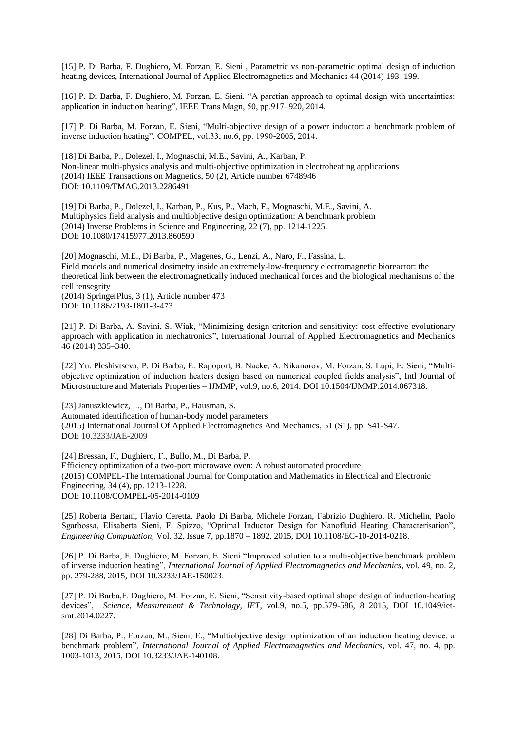[15] P. Di Barba, F. Dughiero, M. Forzan, E. Sieni , Parametric vs non-parametric optimal design of induction heating devices, International Journal of Applied Electromagnetics and Mechanics 44 (2014) 193–199.

[16] P. Di Barba, F. Dughiero, M. Forzan, E. Sieni. "A paretian approach to optimal design with uncertainties: application in induction heating", IEEE Trans Magn, 50, pp.917–920, 2014.

[17] P. Di Barba, M. Forzan, E. Sieni, "Multi-objective design of a power inductor: a benchmark problem of inverse induction heating", COMPEL, vol.33, no.6, pp. 1990-2005, 2014.

[18] Di Barba, P., Dolezel, I., Mognaschi, M.E., Savini, A., Karban, P. Non-linear multi-physics analysis and multi-objective optimization in electroheating applications (2014) IEEE Transactions on Magnetics, 50 (2), Article number 6748946 DOI: 10.1109/TMAG.2013.2286491

[19] Di Barba, P., Dolezel, I., Karban, P., Kus, P., Mach, F., Mognaschi, M.E., Savini, A. Multiphysics field analysis and multiobjective design optimization: A benchmark problem (2014) Inverse Problems in Science and Engineering, 22 (7), pp. 1214-1225. DOI: 10.1080/17415977.2013.860590

[20] Mognaschi, M.E., Di Barba, P., Magenes, G., Lenzi, A., Naro, F., Fassina, L. Field models and numerical dosimetry inside an extremely-low-frequency electromagnetic bioreactor: the theoretical link between the electromagnetically induced mechanical forces and the biological mechanisms of the cell tensegrity

(2014) SpringerPlus, 3 (1), Article number 473 DOI: 10.1186/2193-1801-3-473

[21] P. Di Barba, A. Savini, S. Wiak, "Minimizing design criterion and sensitivity: cost-effective evolutionary approach with application in mechatronics", International Journal of Applied Electromagnetics and Mechanics 46 (2014) 335–340.

[22] Yu. Pleshivtseva, P. Di Barba, E. Rapoport, B. Nacke, A. Nikanorov, M. Forzan, S. Lupi, E. Sieni, "Multiobjective optimization of induction heaters design based on numerical coupled fields analysis", Intl Journal of Microstructure and Materials Properties – IJMMP, vol.9, no.6, 2014. DOI 10.1504/IJMMP.2014.067318.

[23] Januszkiewicz, L., Di Barba, P., Hausman, S. Automated identification of human-body model parameters (2015) International Journal Of Applied Electromagnetics And Mechanics, 51 (S1), pp. S41-S47. DOI: 10.3233/JAE-2009

[24] Bressan, F., Dughiero, F., Bullo, M., Di Barba, P. Efficiency optimization of a two-port microwave oven: A robust automated procedure (2015) COMPEL-The International Journal for Computation and Mathematics in Electrical and Electronic Engineering, 34 (4), pp. 1213-1228. DOI: 10.1108/COMPEL-05-2014-0109

[25] Roberta Bertani, Flavio Ceretta, Paolo Di Barba, Michele Forzan, Fabrizio Dughiero, R. Michelin, Paolo Sgarbossa, Elisabetta Sieni, F. Spizzo, "Optimal Inductor Design for Nanofluid Heating Characterisation", *Engineering Computation*, Vol. 32, Issue 7, pp.1870 – 1892, 2015, DOI 10.1108/EC-10-2014-0218.

[26] P. Di Barba, F. Dughiero, M. Forzan, E. Sieni "Improved solution to a multi-objective benchmark problem of inverse induction heating", *International Journal of Applied Electromagnetics and Mechanics*, vol. 49, no. 2, pp. 279-288, 2015, DOI 10.3233/JAE-150023.

[27] P. Di Barba,F. Dughiero, M. Forzan, E. Sieni, "Sensitivity-based optimal shape design of induction-heating devices", *Science, Measurement & Technology, IET*, vol.9, no.5, pp.579-586, 8 2015, DOI 10.1049/ietsmt.2014.0227.

[28] Di Barba, P., Forzan, M., Sieni, E., "Multiobjective design optimization of an induction heating device: a benchmark problem", *International Journal of Applied Electromagnetics and Mechanics*, vol. 47, no. 4, pp. 1003-1013, 2015, DOI 10.3233/JAE-140108.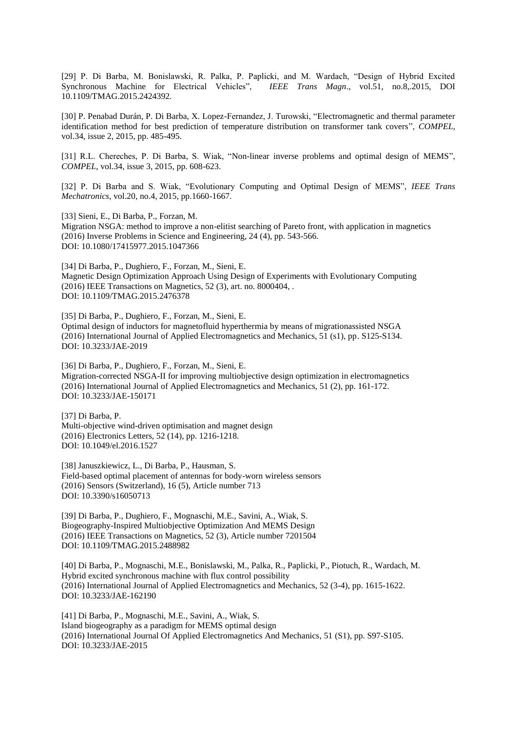[29] P. Di Barba, M. Bonislawski, R. Palka, P. Paplicki, and M. Wardach, "Design of Hybrid Excited Synchronous Machine for Electrical Vehicles", *IEEE Trans Magn*., vol.51, no.8,.2015, DOI 10.1109/TMAG.2015.2424392.

[30] P. Penabad Durán, P. Di Barba, X. Lopez-Fernandez, J. Turowski, ["Electromagnetic and thermal parameter](http://www.emeraldinsight.com/doi/full/10.1108/COMPEL-08-2014-0217)  [identification method for best prediction of temperature distribution on transformer tank covers"](http://www.emeraldinsight.com/doi/full/10.1108/COMPEL-08-2014-0217), *COMPEL*, vol.34, issue 2, 2015, pp. 485-495.

[31] R.L. Chereches, P. Di Barba, S. Wiak, ["Non-linear inverse problems and optimal design of MEMS"](http://www.emeraldinsight.com/doi/full/10.1108/COMPEL-10-2014-0263), *COMPEL*, vol.34, issue 3, 2015, pp. 608-623.

[32] P. Di Barba and S. Wiak, "Evolutionary Computing and Optimal Design of MEMS", *IEEE Trans Mechatronics*, vol.20, no.4, 2015, pp.1660-1667.

[33] Sieni, E., Di Barba, P., Forzan, M. Migration NSGA: method to improve a non-elitist searching of Pareto front, with application in magnetics (2016) Inverse Problems in Science and Engineering, 24 (4), pp. 543-566. DOI: 10.1080/17415977.2015.1047366

[34] Di Barba, P., Dughiero, F., Forzan, M., Sieni, E. Magnetic Design Optimization Approach Using Design of Experiments with Evolutionary Computing (2016) IEEE Transactions on Magnetics, 52 (3), art. no. 8000404, . DOI: 10.1109/TMAG.2015.2476378

[35] Di Barba, P., Dughiero, F., Forzan, M., Sieni, E. Optimal design of inductors for magnetofluid hyperthermia by means of migrationassisted NSGA (2016) International Journal of Applied Electromagnetics and Mechanics, 51 (s1), pp. S125-S134. DOI: 10.3233/JAE-2019

[36] Di Barba, P., Dughiero, F., Forzan, M., Sieni, E. Migration-corrected NSGA-II for improving multiobjective design optimization in electromagnetics (2016) International Journal of Applied Electromagnetics and Mechanics, 51 (2), pp. 161-172. DOI: 10.3233/JAE-150171

[37] Di Barba, P. Multi-objective wind-driven optimisation and magnet design (2016) Electronics Letters, 52 (14), pp. 1216-1218. DOI: 10.1049/el.2016.1527

[38] Januszkiewicz, L., Di Barba, P., Hausman, S. Field-based optimal placement of antennas for body-worn wireless sensors (2016) Sensors (Switzerland), 16 (5), Article number 713 DOI: 10.3390/s16050713

[39] Di Barba, P., Dughiero, F., Mognaschi, M.E., Savini, A., Wiak, S. Biogeography-Inspired Multiobjective Optimization And MEMS Design (2016) IEEE Transactions on Magnetics, 52 (3), Article number 7201504 DOI: 10.1109/TMAG.2015.2488982

[40] Di Barba, P., Mognaschi, M.E., Bonislawski, M., Palka, R., Paplicki, P., Piotuch, R., Wardach, M. Hybrid excited synchronous machine with flux control possibility (2016) International Journal of Applied Electromagnetics and Mechanics, 52 (3-4), pp. 1615-1622. DOI: 10.3233/JAE-162190

[41] Di Barba, P., Mognaschi, M.E., Savini, A., Wiak, S. Island biogeography as a paradigm for MEMS optimal design (2016) International Journal Of Applied Electromagnetics And Mechanics, 51 (S1), pp. S97-S105. DOI: 10.3233/JAE-2015